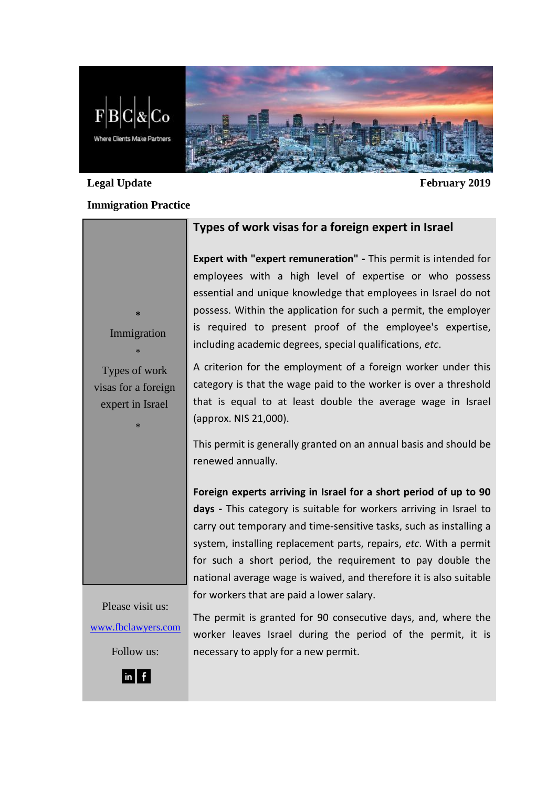

#### **Legal Update February 2019**

### **Immigration Practice**

**Types of work visas for a foreign expert in Israel**

**Expert with "expert remuneration" -** This permit is intended for employees with a high level of expertise or who possess essential and unique knowledge that employees in Israel do not possess. Within the application for such a permit, the employer is required to present proof of the employee's expertise, including academic degrees, special qualifications, *etc*.

A criterion for the employment of a foreign worker under this category is that the wage paid to the worker is over a threshold that is equal to at least double the average wage in Israel (approx. NIS 21,000).

This permit is generally granted on an annual basis and should be renewed annually.

**Foreign experts arriving in Israel for a short period of up to 90 days -** This category is suitable for workers arriving in Israel to carry out temporary and time-sensitive tasks, such as installing a system, installing replacement parts, repairs, *etc*. With a permit for such a short period, the requirement to pay double the national average wage is waived, and therefore it is also suitable for workers that are paid a lower salary.

Please visit us: [www.fbclawyers.com](http://www.fbclawyers.com/)

Follow us:

worker leaves Israel during the period of the permit, it is necessary to apply for a new permit.

**\*** Immigration \*

Types of work visas for a foreign expert in Israel

\*



The permit is granted for 90 consecutive days, and, where the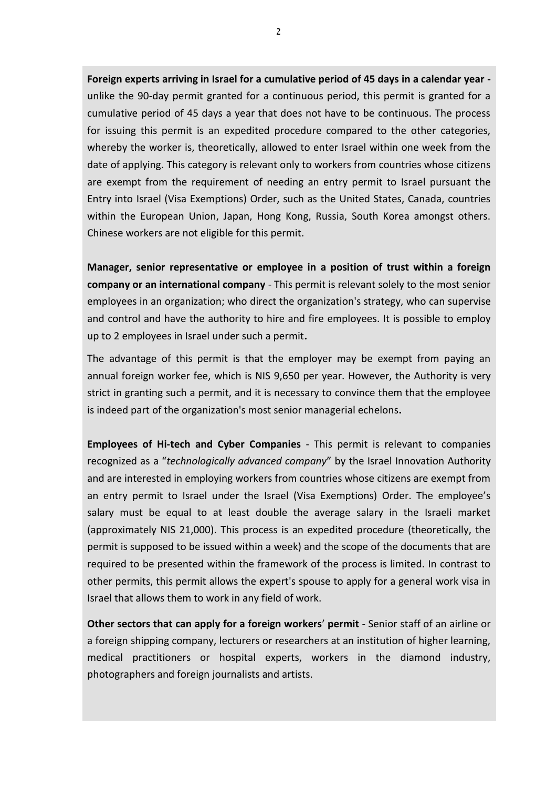**Foreign experts arriving in Israel for a cumulative period of 45 days in a calendar year**  unlike the 90-day permit granted for a continuous period, this permit is granted for a cumulative period of 45 days a year that does not have to be continuous. The process for issuing this permit is an expedited procedure compared to the other categories, whereby the worker is, theoretically, allowed to enter Israel within one week from the date of applying. This category is relevant only to workers from countries whose citizens are exempt from the requirement of needing an entry permit to Israel pursuant the Entry into Israel (Visa Exemptions) Order, such as the United States, Canada, countries within the European Union, Japan, Hong Kong, Russia, South Korea amongst others. Chinese workers are not eligible for this permit.

**Manager, senior representative or employee in a position of trust within a foreign company or an international company** - This permit is relevant solely to the most senior employees in an organization; who direct the organization's strategy, who can supervise and control and have the authority to hire and fire employees. It is possible to employ up to 2 employees in Israel under such a permit**.**

The advantage of this permit is that the employer may be exempt from paying an annual foreign worker fee, which is NIS 9,650 per year. However, the Authority is very strict in granting such a permit, and it is necessary to convince them that the employee is indeed part of the organization's most senior managerial echelons**.**

**Employees of Hi-tech and Cyber Companies** - This permit is relevant to companies recognized as a "*technologically advanced company*" by the Israel Innovation Authority and are interested in employing workers from countries whose citizens are exempt from an entry permit to Israel under the Israel (Visa Exemptions) Order. The employee's salary must be equal to at least double the average salary in the Israeli market (approximately NIS 21,000). This process is an expedited procedure (theoretically, the permit is supposed to be issued within a week) and the scope of the documents that are required to be presented within the framework of the process is limited. In contrast to other permits, this permit allows the expert's spouse to apply for a general work visa in Israel that allows them to work in any field of work.

**Other sectors that can apply for a foreign workers**' **permit** - Senior staff of an airline or a foreign shipping company, lecturers or researchers at an institution of higher learning, medical practitioners or hospital experts, workers in the diamond industry, photographers and foreign journalists and artists.